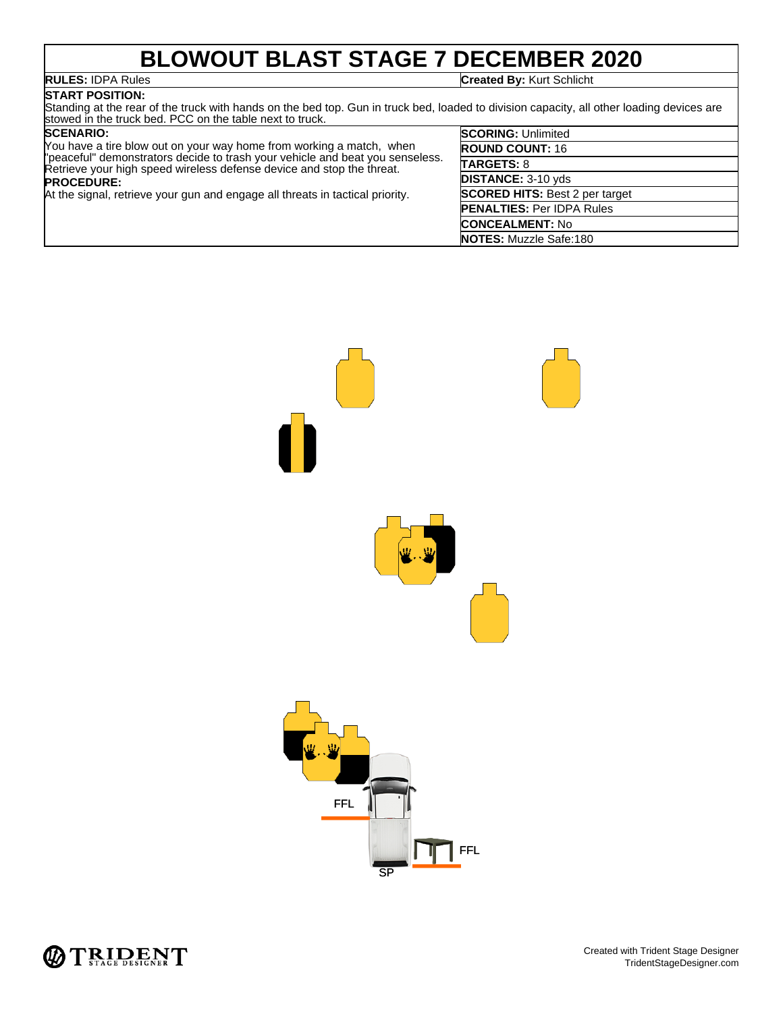### **BLOWOUT BLAST STAGE 7 DECEMBER 2020**

#### **RULES:** IDPA Rules **Created By:** Kurt Schlicht

**START POSITION:**

Standing at the rear of the truck with hands on the bed top. Gun in truck bed, loaded to division capacity, all other loading devices are stowed in the truck bed. PCC on the table next to truck.

#### **SCENARIO:**

You have a tire blow out on your way home from working a match, when "peaceful" demonstrators decide to trash your vehicle and beat you senseless. Retrieve your high speed wireless defense device and stop the threat. **PROCEDURE:** At the signal, retrieve your gun and engage all threats in tactical priority.

| <b>SCORING: Unlimited</b>             |
|---------------------------------------|
| <b>ROUND COUNT: 16</b>                |
| <b>TARGETS: 8</b>                     |
| <b>DISTANCE: 3-10 yds</b>             |
| <b>SCORED HITS: Best 2 per target</b> |
| <b>PENALTIES: Per IDPA Rules</b>      |
| <b>CONCEALMENT: No</b>                |
| <b>NOTES:</b> Muzzle Safe:180         |



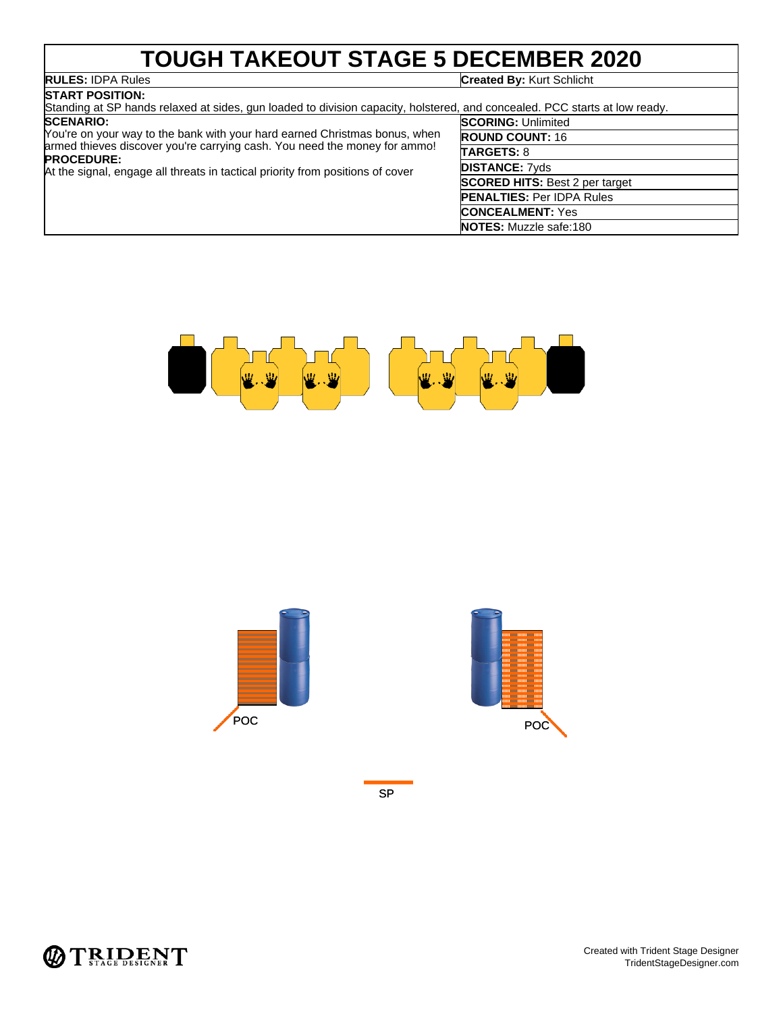### **TOUGH TAKEOUT STAGE 5 DECEMBER 2020**

## **RULES: IDPA Rules**<br>**START POSITION:**

**Created By: Kurt Schlicht** 

| .                                                                                                                                                                                                                                                              |                                       |
|----------------------------------------------------------------------------------------------------------------------------------------------------------------------------------------------------------------------------------------------------------------|---------------------------------------|
| Standing at SP hands relaxed at sides, gun loaded to division capacity, holstered, and concealed. PCC starts at low ready.                                                                                                                                     |                                       |
| <b>SCENARIO:</b>                                                                                                                                                                                                                                               | <b>SCORING: Unlimited</b>             |
| You're on your way to the bank with your hard earned Christmas bonus, when<br>armed thieves discover you're carrying cash. You need the money for ammo!<br><b>PROCEDURE:</b><br>At the signal, engage all threats in tactical priority from positions of cover | <b>ROUND COUNT: 16</b>                |
|                                                                                                                                                                                                                                                                | <b>TARGETS: 8</b>                     |
|                                                                                                                                                                                                                                                                | <b>DISTANCE: 7yds</b>                 |
|                                                                                                                                                                                                                                                                | <b>SCORED HITS: Best 2 per target</b> |
|                                                                                                                                                                                                                                                                | <b>PENALTIES: Per IDPA Rules</b>      |
|                                                                                                                                                                                                                                                                | <b>CONCEALMENT: Yes</b>               |
|                                                                                                                                                                                                                                                                | <b>NOTES:</b> Muzzle safe:180         |





SP

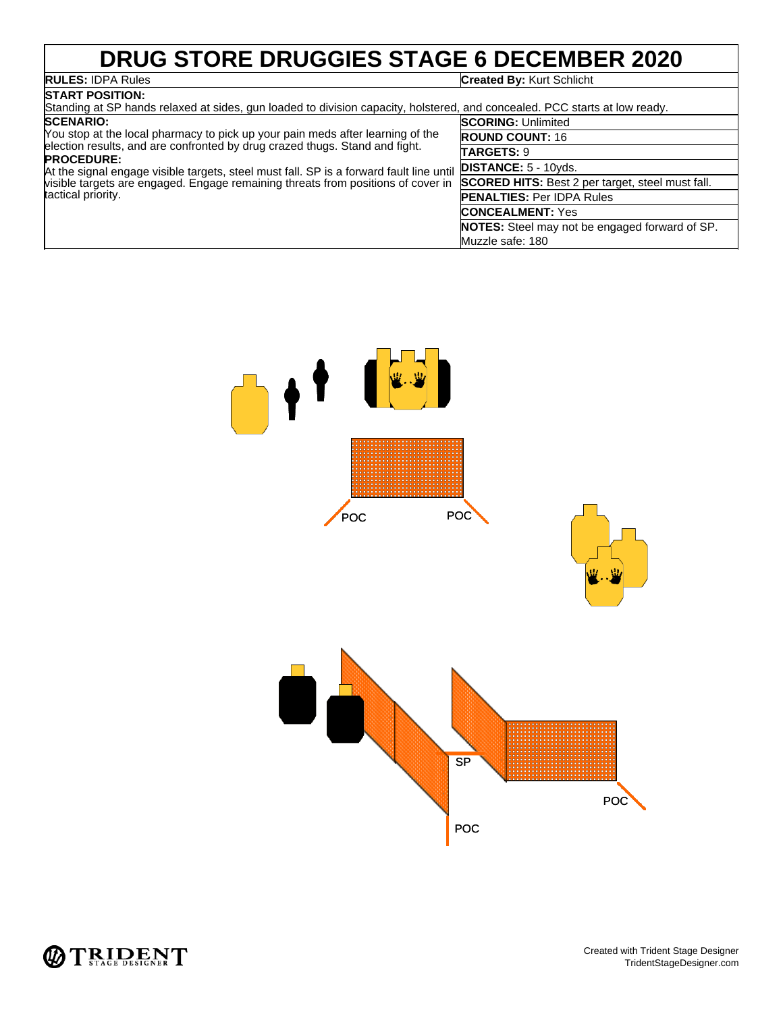# **DRUG STORE DRUGGIES STAGE 6 DECEMBER 2020**<br>RULES: IDPA Rules

### **START POSITION:**

**Created By: Kurt Schlicht** 

| Standing at SP hands relaxed at sides, gun loaded to division capacity, holstered, and concealed. PCC starts at low ready.                                                                                                                                                                                                                                                              |                                                         |  |
|-----------------------------------------------------------------------------------------------------------------------------------------------------------------------------------------------------------------------------------------------------------------------------------------------------------------------------------------------------------------------------------------|---------------------------------------------------------|--|
| <b>SCENARIO:</b>                                                                                                                                                                                                                                                                                                                                                                        | <b>SCORING: Unlimited</b>                               |  |
| You stop at the local pharmacy to pick up your pain meds after learning of the<br>election results, and are confronted by drug crazed thugs. Stand and fight.<br><b>PROCEDURE:</b><br>At the signal engage visible targets, steel must fall. SP is a forward fault line until<br>visible targets are engaged. Engage remaining threats from positions of cover in<br>tactical priority. | <b>ROUND COUNT: 16</b>                                  |  |
|                                                                                                                                                                                                                                                                                                                                                                                         | <b>TARGETS: 9</b>                                       |  |
|                                                                                                                                                                                                                                                                                                                                                                                         | <b>DISTANCE:</b> $5 - 10yds$ .                          |  |
|                                                                                                                                                                                                                                                                                                                                                                                         | <b>SCORED HITS:</b> Best 2 per target, steel must fall. |  |
|                                                                                                                                                                                                                                                                                                                                                                                         | <b>PENALTIES: Per IDPA Rules</b>                        |  |
|                                                                                                                                                                                                                                                                                                                                                                                         | <b>CONCEALMENT: Yes</b>                                 |  |
|                                                                                                                                                                                                                                                                                                                                                                                         | <b>NOTES:</b> Steel may not be engaged forward of SP.   |  |
|                                                                                                                                                                                                                                                                                                                                                                                         | Muzzle safe: 180                                        |  |



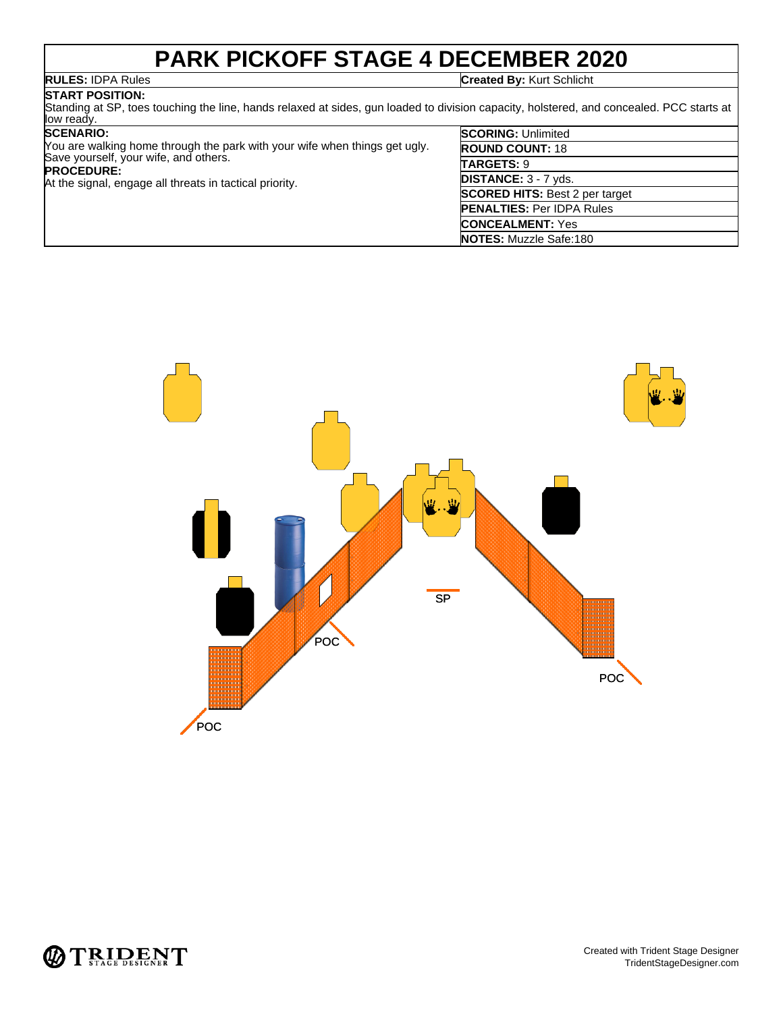### **PARK PICKOFF STAGE 4 DECEMBER 2020**

**RULES:** IDPA Rules **Created By:** Kurt Schlicht

#### **START POSITION:**

Standing at SP, toes touching the line, hands relaxed at sides, gun loaded to division capacity, holstered, and concealed. PCC starts at low ready.

#### **SCENARIO:**

| Nou are walking home through the park with your wife when things get ugly. | RO        |
|----------------------------------------------------------------------------|-----------|
| Save yourself, your wife, and others.                                      | TAI       |
| <b>PROCEDURE:</b>                                                          |           |
| At the signal, engage all threats in tactical priority.                    | DIS       |
|                                                                            | <b>SC</b> |
|                                                                            | PFI       |
|                                                                            |           |

| <b>SCORING: Unlimited</b>             |
|---------------------------------------|
| <b>ROUND COUNT: 18</b>                |
| TARGETS: 9                            |
| DISTANCE: 3 - 7 yds.                  |
| <b>SCORED HITS: Best 2 per target</b> |
| <b>PENALTIES: Per IDPA Rules</b>      |
| <b>CONCEALMENT: Yes</b>               |
| <b>NOTES:</b> Muzzle Safe:180         |



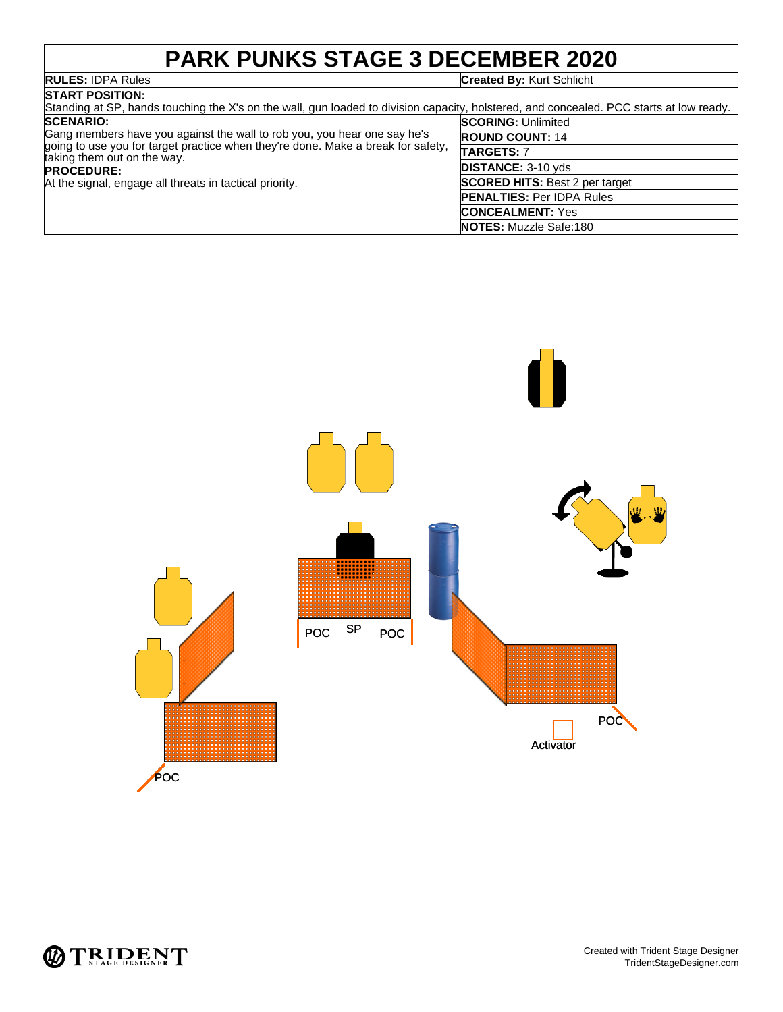### **PARK PUNKS STAGE 3 DECEMBER 2020**

#### **RULES:** IDPA Rules **Created By:** Kurt Schlicht **RULES: IDPA Rules**<br>START POSITION:

| START POSITION:                                                                                                                                                                                                                                                             |                                       |
|-----------------------------------------------------------------------------------------------------------------------------------------------------------------------------------------------------------------------------------------------------------------------------|---------------------------------------|
| Standing at SP, hands touching the X's on the wall, gun loaded to division capacity, holstered, and concealed. PCC starts at low ready.                                                                                                                                     |                                       |
| <b>SCENARIO:</b>                                                                                                                                                                                                                                                            | <b>SCORING: Unlimited</b>             |
| Gang members have you against the wall to rob you, you hear one say he's<br>going to use you for target practice when they're done. Make a break for safety,<br>taking them out on the way.<br><b>PROCEDURE:</b><br>At the signal, engage all threats in tactical priority. | <b>ROUND COUNT: 14</b>                |
|                                                                                                                                                                                                                                                                             | <b>TARGETS: 7</b>                     |
|                                                                                                                                                                                                                                                                             | <b>DISTANCE: 3-10 yds</b>             |
|                                                                                                                                                                                                                                                                             | <b>SCORED HITS: Best 2 per target</b> |
|                                                                                                                                                                                                                                                                             | <b>PENALTIES: Per IDPA Rules</b>      |
|                                                                                                                                                                                                                                                                             | <b>CONCEALMENT: Yes</b>               |
|                                                                                                                                                                                                                                                                             | <b>NOTES:</b> Muzzle Safe:180         |



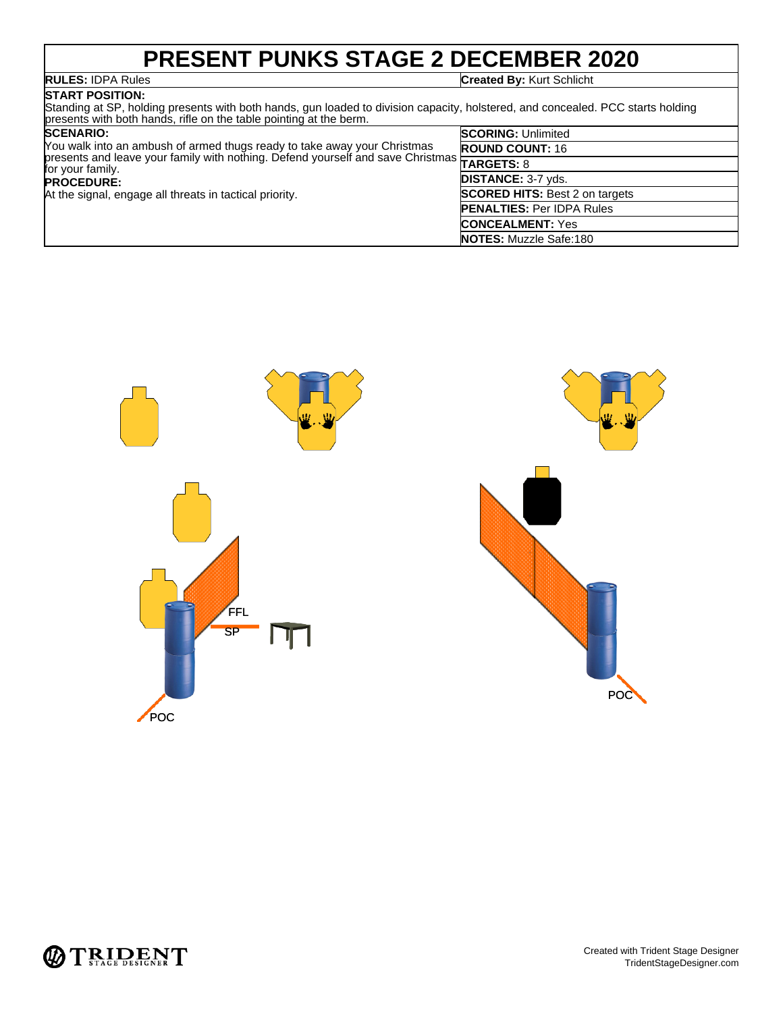# **PRESENT PUNKS STAGE 2 DECEMBER 2020**

**RULES:** IDPA Rules **Created By:** Kurt Schlicht

#### **START POSITION:** Standing at SP, holding presents with both hands, gun loaded to division capacity, holstered, and concealed. PCC starts holding presents with both hands, rifle on the table pointing at the berm.

| <b>SCENARIO:</b><br>You walk into an ambush of armed thugs ready to take away your Christmas                      | <b>SCORING: Unlimited</b>             |
|-------------------------------------------------------------------------------------------------------------------|---------------------------------------|
|                                                                                                                   | <b>ROUND COUNT: 16</b>                |
| prou waik into an ambustic, announce and social period yourself and save Christmas TARGETS: 8<br>for your family. |                                       |
| <b>PROCEDURE:</b>                                                                                                 | <b>DISTANCE: 3-7 yds.</b>             |
| At the signal, engage all threats in tactical priority.                                                           | <b>SCORED HITS: Best 2 on targets</b> |
|                                                                                                                   | <b>PENALTIES: Per IDPA Rules</b>      |
|                                                                                                                   | <b>CONCEALMENT: Yes</b>               |
|                                                                                                                   | <b>NOTES:</b> Muzzle Safe:180         |





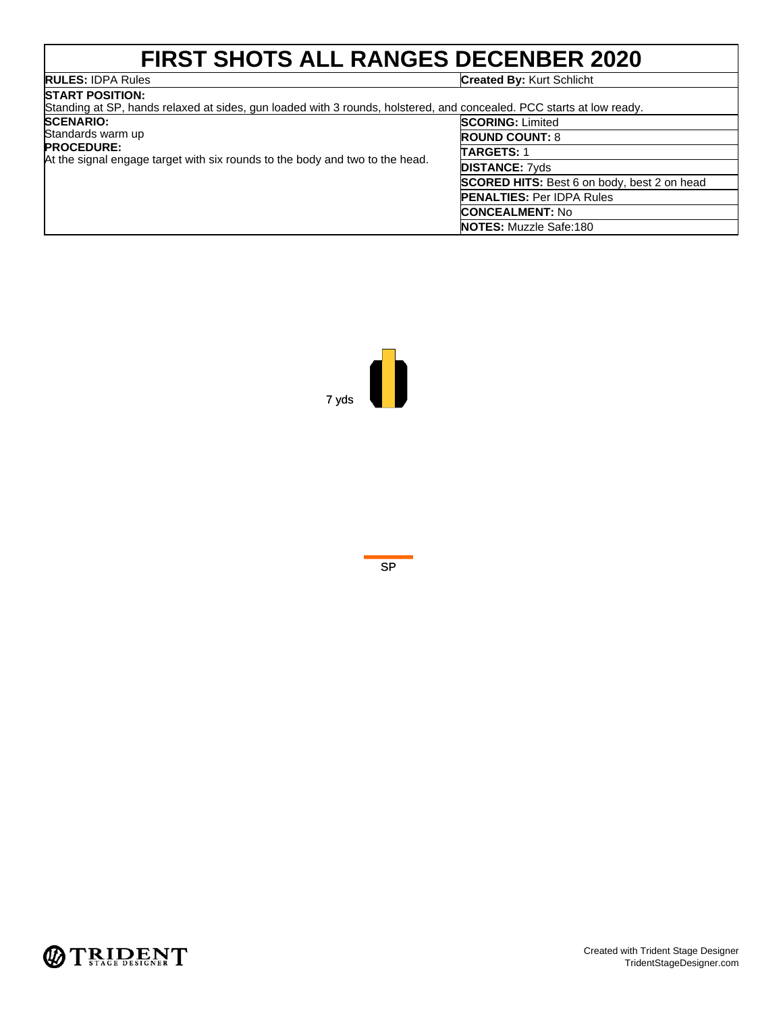## **FIRST SHOTS ALL RANGES DECENBER 2020**

|               | <b>RULES:</b> IDPA Rules |
|---------------|--------------------------|
| ------------- |                          |

### **Created By: Kurt Schlicht**

| <b>ISTART POSITION:</b><br>Standing at SP, hands relaxed at sides, gun loaded with 3 rounds, holstered, and concealed. PCC starts at low ready. |                                                    |  |
|-------------------------------------------------------------------------------------------------------------------------------------------------|----------------------------------------------------|--|
| <b>SCENARIO:</b>                                                                                                                                | <b>SCORING: Limited</b>                            |  |
| Standards warm up                                                                                                                               | <b>ROUND COUNT: 8</b>                              |  |
| <b>PROCEDURE:</b><br>At the signal engage target with six rounds to the body and two to the head.                                               | <b>TARGETS: 1</b>                                  |  |
|                                                                                                                                                 | <b>DISTANCE: 7vds</b>                              |  |
|                                                                                                                                                 | <b>SCORED HITS:</b> Best 6 on body, best 2 on head |  |
|                                                                                                                                                 | <b>PENALTIES: Per IDPA Rules</b>                   |  |
|                                                                                                                                                 | <b>CONCEALMENT: No</b>                             |  |
|                                                                                                                                                 | <b>NOTES: Muzzle Safe:180</b>                      |  |



![](_page_6_Figure_5.jpeg)

![](_page_6_Picture_6.jpeg)